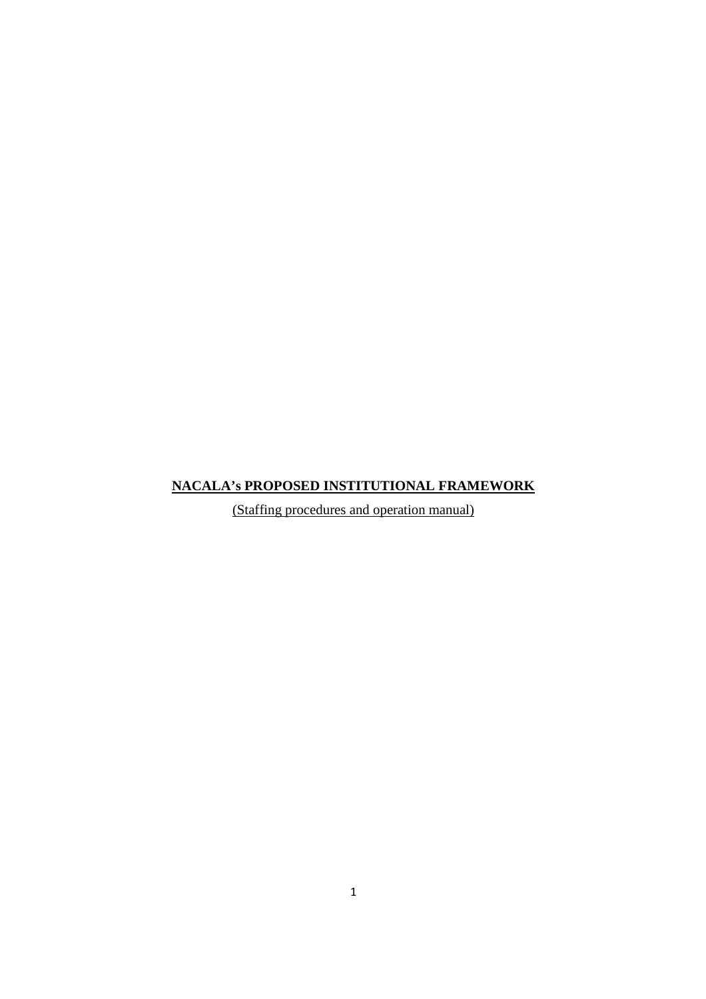# **NACALA's PROPOSED INSTITUTIONAL FRAMEWORK**

(Staffing procedures and operation manual)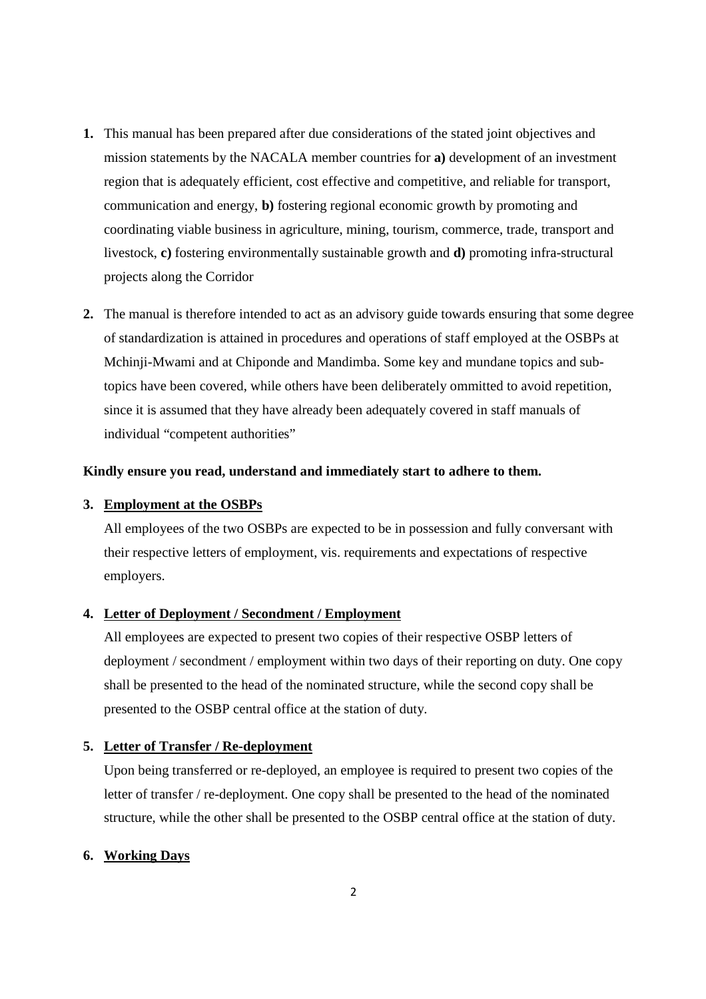- **1.** This manual has been prepared after due considerations of the stated joint objectives and mission statements by the NACALA member countries for **a)** development of an investment region that is adequately efficient, cost effective and competitive, and reliable for transport, communication and energy, **b)** fostering regional economic growth by promoting and coordinating viable business in agriculture, mining, tourism, commerce, trade, transport and livestock, **c)** fostering environmentally sustainable growth and **d)** promoting infra-structural projects along the Corridor
- **2.** The manual is therefore intended to act as an advisory guide towards ensuring that some degree of standardization is attained in procedures and operations of staff employed at the OSBPs at Mchinji-Mwami and at Chiponde and Mandimba. Some key and mundane topics and subtopics have been covered, while others have been deliberately ommitted to avoid repetition, since it is assumed that they have already been adequately covered in staff manuals of individual "competent authorities"

# **Kindly ensure you read, understand and immediately start to adhere to them.**

# **3. Employment at the OSBPs**

All employees of the two OSBPs are expected to be in possession and fully conversant with their respective letters of employment, vis. requirements and expectations of respective employers.

# **4. Letter of Deployment / Secondment / Employment**

 All employees are expected to present two copies of their respective OSBP letters of deployment / secondment / employment within two days of their reporting on duty. One copy shall be presented to the head of the nominated structure, while the second copy shall be presented to the OSBP central office at the station of duty.

#### **5. Letter of Transfer / Re-deployment**

Upon being transferred or re-deployed, an employee is required to present two copies of the letter of transfer / re-deployment. One copy shall be presented to the head of the nominated structure, while the other shall be presented to the OSBP central office at the station of duty.

# **6. Working Days**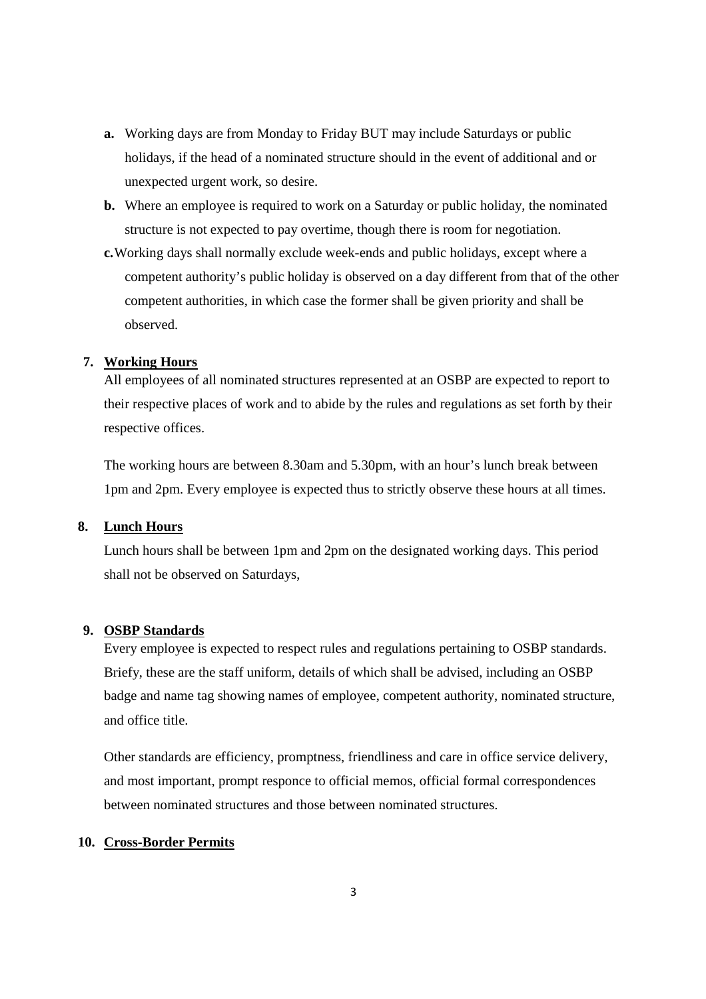- **a.** Working days are from Monday to Friday BUT may include Saturdays or public holidays, if the head of a nominated structure should in the event of additional and or unexpected urgent work, so desire.
- **b.** Where an employee is required to work on a Saturday or public holiday, the nominated structure is not expected to pay overtime, though there is room for negotiation.
- **c.** Working days shall normally exclude week-ends and public holidays, except where a competent authority's public holiday is observed on a day different from that of the other competent authorities, in which case the former shall be given priority and shall be observed.

# **7. Working Hours**

All employees of all nominated structures represented at an OSBP are expected to report to their respective places of work and to abide by the rules and regulations as set forth by their respective offices.

The working hours are between 8.30am and 5.30pm, with an hour's lunch break between 1pm and 2pm. Every employee is expected thus to strictly observe these hours at all times.

# **8. Lunch Hours**

Lunch hours shall be between 1pm and 2pm on the designated working days. This period shall not be observed on Saturdays,

# **9. OSBP Standards**

Every employee is expected to respect rules and regulations pertaining to OSBP standards. Briefy, these are the staff uniform, details of which shall be advised, including an OSBP badge and name tag showing names of employee, competent authority, nominated structure, and office title.

Other standards are efficiency, promptness, friendliness and care in office service delivery, and most important, prompt responce to official memos, official formal correspondences between nominated structures and those between nominated structures.

#### **10. Cross-Border Permits**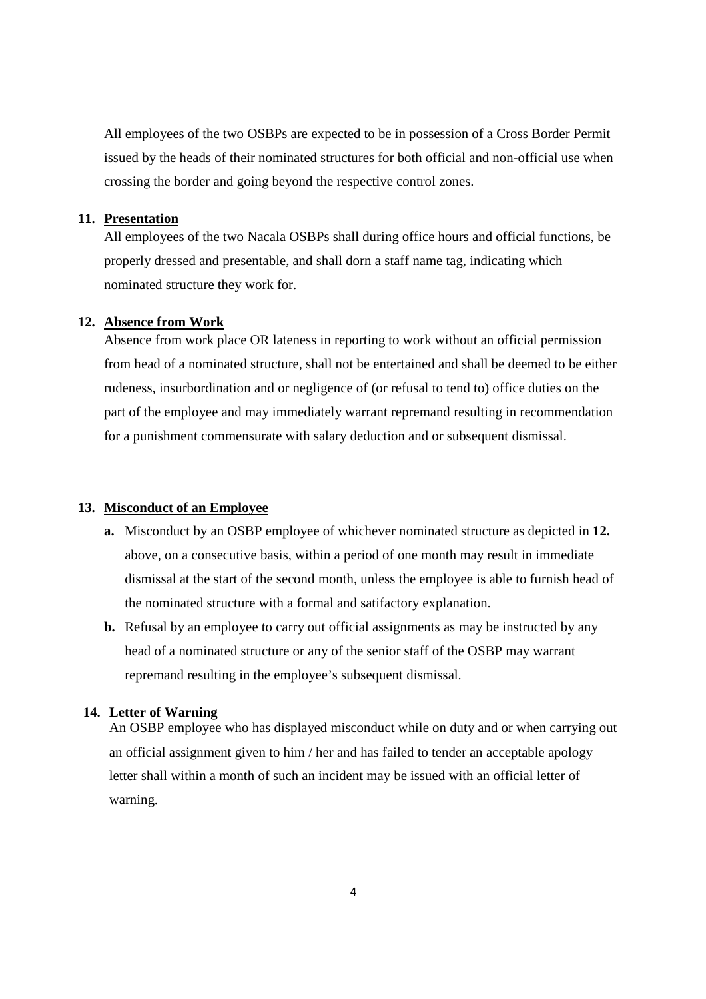All employees of the two OSBPs are expected to be in possession of a Cross Border Permit issued by the heads of their nominated structures for both official and non-official use when crossing the border and going beyond the respective control zones.

# **11. Presentation**

All employees of the two Nacala OSBPs shall during office hours and official functions, be properly dressed and presentable, and shall dorn a staff name tag, indicating which nominated structure they work for.

#### **12. Absence from Work**

Absence from work place OR lateness in reporting to work without an official permission from head of a nominated structure, shall not be entertained and shall be deemed to be either rudeness, insurbordination and or negligence of (or refusal to tend to) office duties on the part of the employee and may immediately warrant repremand resulting in recommendation for a punishment commensurate with salary deduction and or subsequent dismissal.

# **13. Misconduct of an Employee**

- **a.** Misconduct by an OSBP employee of whichever nominated structure as depicted in **12.**  above, on a consecutive basis, within a period of one month may result in immediate dismissal at the start of the second month, unless the employee is able to furnish head of the nominated structure with a formal and satifactory explanation.
- **b.** Refusal by an employee to carry out official assignments as may be instructed by any head of a nominated structure or any of the senior staff of the OSBP may warrant repremand resulting in the employee's subsequent dismissal.

#### **14. Letter of Warning**

An OSBP employee who has displayed misconduct while on duty and or when carrying out an official assignment given to him / her and has failed to tender an acceptable apology letter shall within a month of such an incident may be issued with an official letter of warning.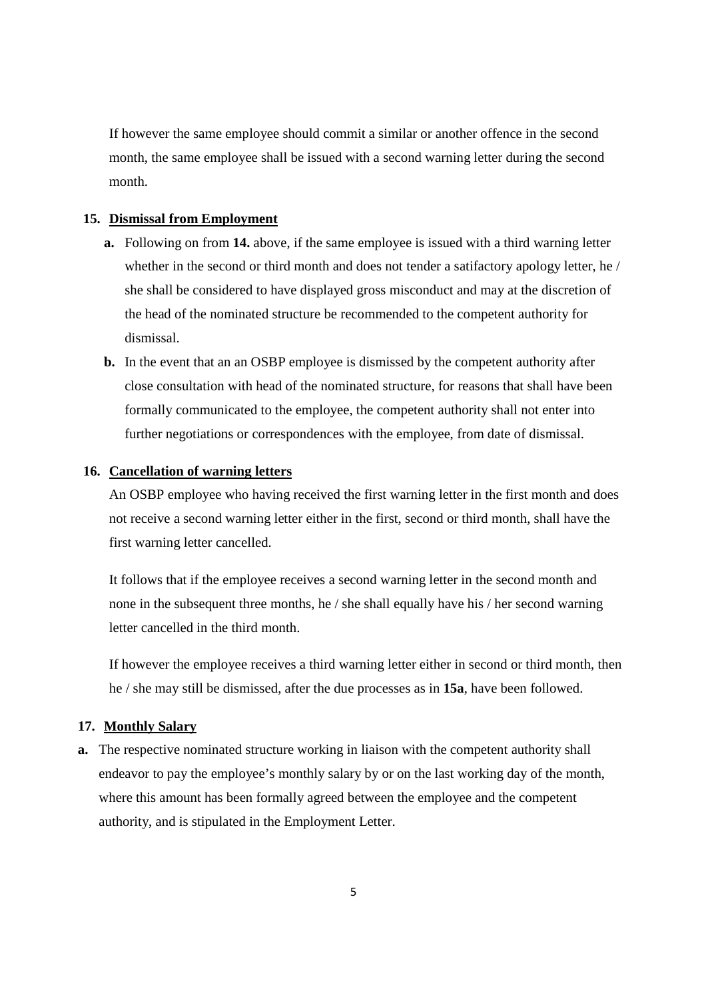If however the same employee should commit a similar or another offence in the second month, the same employee shall be issued with a second warning letter during the second month.

# **15. Dismissal from Employment**

- **a.** Following on from **14.** above, if the same employee is issued with a third warning letter whether in the second or third month and does not tender a satifactory apology letter, he / she shall be considered to have displayed gross misconduct and may at the discretion of the head of the nominated structure be recommended to the competent authority for dismissal.
- **b.** In the event that an an OSBP employee is dismissed by the competent authority after close consultation with head of the nominated structure, for reasons that shall have been formally communicated to the employee, the competent authority shall not enter into further negotiations or correspondences with the employee, from date of dismissal.

# **16. Cancellation of warning letters**

An OSBP employee who having received the first warning letter in the first month and does not receive a second warning letter either in the first, second or third month, shall have the first warning letter cancelled.

 It follows that if the employee receives a second warning letter in the second month and none in the subsequent three months, he / she shall equally have his / her second warning letter cancelled in the third month.

 If however the employee receives a third warning letter either in second or third month, then he / she may still be dismissed, after the due processes as in **15a**, have been followed.

# **17. Monthly Salary**

**a.** The respective nominated structure working in liaison with the competent authority shall endeavor to pay the employee's monthly salary by or on the last working day of the month, where this amount has been formally agreed between the employee and the competent authority, and is stipulated in the Employment Letter.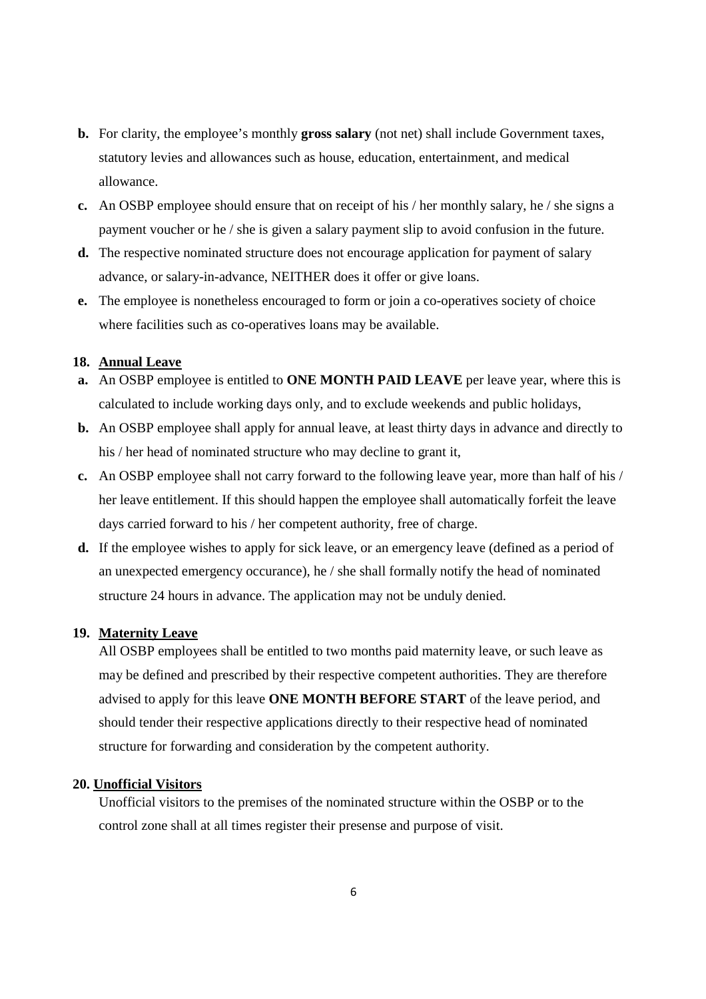- **b.** For clarity, the employee's monthly **gross salary** (not net) shall include Government taxes, statutory levies and allowances such as house, education, entertainment, and medical allowance.
- **c.** An OSBP employee should ensure that on receipt of his / her monthly salary, he / she signs a payment voucher or he / she is given a salary payment slip to avoid confusion in the future.
- **d.** The respective nominated structure does not encourage application for payment of salary advance, or salary-in-advance, NEITHER does it offer or give loans.
- **e.** The employee is nonetheless encouraged to form or join a co-operatives society of choice where facilities such as co-operatives loans may be available.

# **18. Annual Leave**

- **a.** An OSBP employee is entitled to **ONE MONTH PAID LEAVE** per leave year, where this is calculated to include working days only, and to exclude weekends and public holidays,
- **b.** An OSBP employee shall apply for annual leave, at least thirty days in advance and directly to his / her head of nominated structure who may decline to grant it,
- **c.** An OSBP employee shall not carry forward to the following leave year, more than half of his / her leave entitlement. If this should happen the employee shall automatically forfeit the leave days carried forward to his / her competent authority, free of charge.
- **d.** If the employee wishes to apply for sick leave, or an emergency leave (defined as a period of an unexpected emergency occurance), he / she shall formally notify the head of nominated structure 24 hours in advance. The application may not be unduly denied.

# **19. Maternity Leave**

All OSBP employees shall be entitled to two months paid maternity leave, or such leave as may be defined and prescribed by their respective competent authorities. They are therefore advised to apply for this leave **ONE MONTH BEFORE START** of the leave period, and should tender their respective applications directly to their respective head of nominated structure for forwarding and consideration by the competent authority.

## **20. Unofficial Visitors**

Unofficial visitors to the premises of the nominated structure within the OSBP or to the control zone shall at all times register their presense and purpose of visit.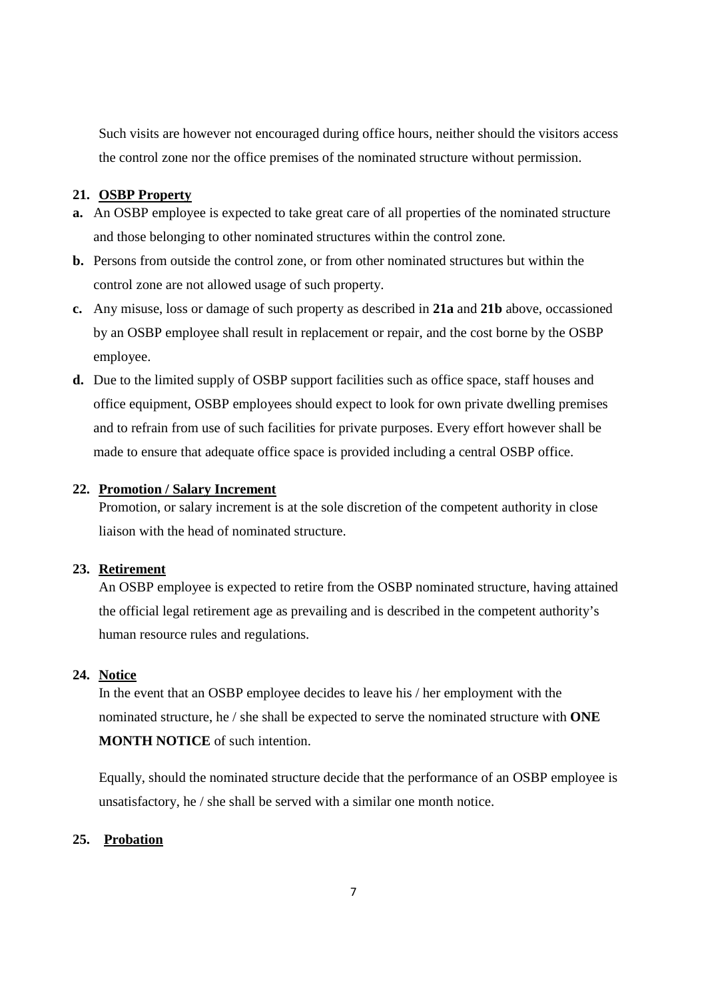Such visits are however not encouraged during office hours, neither should the visitors access the control zone nor the office premises of the nominated structure without permission.

# **21. OSBP Property**

- **a.** An OSBP employee is expected to take great care of all properties of the nominated structure and those belonging to other nominated structures within the control zone.
- **b.** Persons from outside the control zone, or from other nominated structures but within the control zone are not allowed usage of such property.
- **c.** Any misuse, loss or damage of such property as described in **21a** and **21b** above, occassioned by an OSBP employee shall result in replacement or repair, and the cost borne by the OSBP employee.
- **d.** Due to the limited supply of OSBP support facilities such as office space, staff houses and office equipment, OSBP employees should expect to look for own private dwelling premises and to refrain from use of such facilities for private purposes. Every effort however shall be made to ensure that adequate office space is provided including a central OSBP office.

#### **22. Promotion / Salary Increment**

Promotion, or salary increment is at the sole discretion of the competent authority in close liaison with the head of nominated structure.

# **23. Retirement**

An OSBP employee is expected to retire from the OSBP nominated structure, having attained the official legal retirement age as prevailing and is described in the competent authority's human resource rules and regulations.

# **24. Notice**

In the event that an OSBP employee decides to leave his / her employment with the nominated structure, he / she shall be expected to serve the nominated structure with **ONE MONTH NOTICE** of such intention.

Equally, should the nominated structure decide that the performance of an OSBP employee is unsatisfactory, he / she shall be served with a similar one month notice.

# **25. Probation**